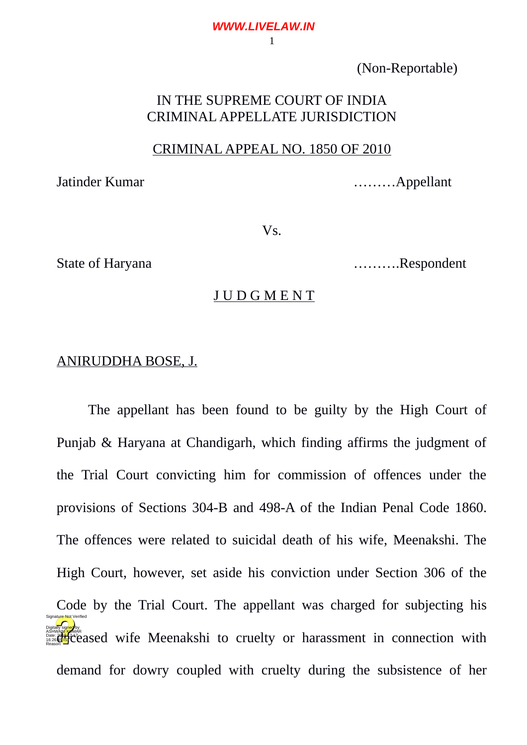# (Non-Reportable)

# IN THE SUPREME COURT OF INDIA CRIMINAL APPELLATE JURISDICTION

## CRIMINAL APPEAL NO. 1850 OF 2010

Jatinder Kumar **Exercise Exercise Exercise Appellant** ..........Appellant

Vs.

State of Haryana ……….Respondent

#### J U D G M E N T

## ANIRUDDHA BOSE, J.

The appellant has been found to be guilty by the High Court of Punjab & Haryana at Chandigarh, which finding affirms the judgment of the Trial Court convicting him for commission of offences under the provisions of Sections 304-B and 498-A of the Indian Penal Code 1860. The offences were related to suicidal death of his wife, Meenakshi. The High Court, however, set aside his conviction under Section 306 of the Code by the Trial Court. The appellant was charged for subjecting his deceased wife Meenakshi to cruelty or harassment in connection with demand for dowry coupled with cruelty during the subsistence of her Digitally signed by Signature Not Verified

1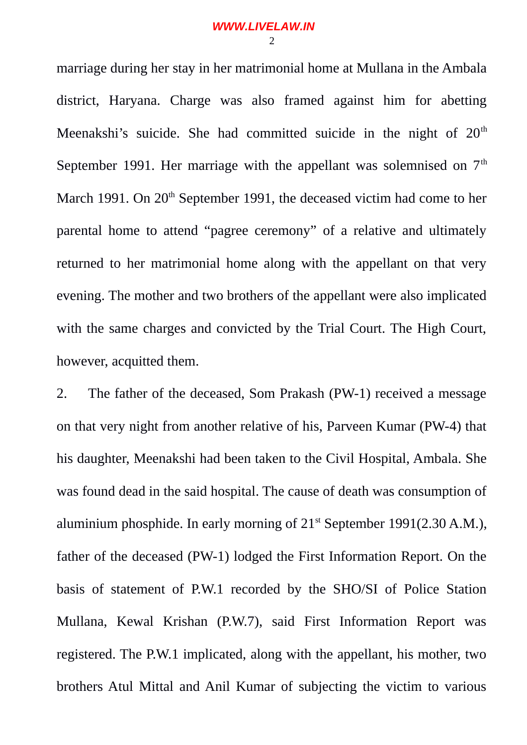marriage during her stay in her matrimonial home at Mullana in the Ambala district, Haryana. Charge was also framed against him for abetting Meenakshi's suicide. She had committed suicide in the night of  $20<sup>th</sup>$ September 1991. Her marriage with the appellant was solemnised on  $7<sup>th</sup>$ March 1991. On 20<sup>th</sup> September 1991, the deceased victim had come to her parental home to attend "pagree ceremony" of a relative and ultimately returned to her matrimonial home along with the appellant on that very evening. The mother and two brothers of the appellant were also implicated with the same charges and convicted by the Trial Court. The High Court, however, acquitted them.

2. The father of the deceased, Som Prakash (PW-1) received a message on that very night from another relative of his, Parveen Kumar (PW-4) that his daughter, Meenakshi had been taken to the Civil Hospital, Ambala. She was found dead in the said hospital. The cause of death was consumption of aluminium phosphide. In early morning of  $21<sup>st</sup>$  September 1991(2.30 A.M.), father of the deceased (PW-1) lodged the First Information Report. On the basis of statement of P.W.1 recorded by the SHO/SI of Police Station Mullana, Kewal Krishan (P.W.7), said First Information Report was registered. The P.W.1 implicated, along with the appellant, his mother, two brothers Atul Mittal and Anil Kumar of subjecting the victim to various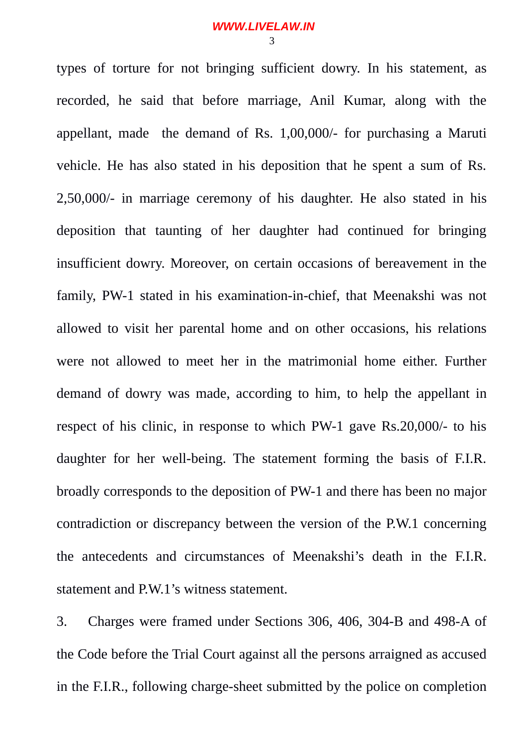types of torture for not bringing sufficient dowry. In his statement, as recorded, he said that before marriage, Anil Kumar, along with the appellant, made the demand of Rs. 1,00,000/- for purchasing a Maruti vehicle. He has also stated in his deposition that he spent a sum of Rs. 2,50,000/- in marriage ceremony of his daughter. He also stated in his deposition that taunting of her daughter had continued for bringing insufficient dowry. Moreover, on certain occasions of bereavement in the family, PW-1 stated in his examination-in-chief, that Meenakshi was not allowed to visit her parental home and on other occasions, his relations were not allowed to meet her in the matrimonial home either. Further demand of dowry was made, according to him, to help the appellant in respect of his clinic, in response to which PW-1 gave Rs.20,000/- to his daughter for her well-being. The statement forming the basis of F.I.R. broadly corresponds to the deposition of PW-1 and there has been no major contradiction or discrepancy between the version of the P.W.1 concerning the antecedents and circumstances of Meenakshi's death in the F.I.R. statement and P.W.1's witness statement.

3. Charges were framed under Sections 306, 406, 304-B and 498-A of the Code before the Trial Court against all the persons arraigned as accused in the F.I.R., following charge-sheet submitted by the police on completion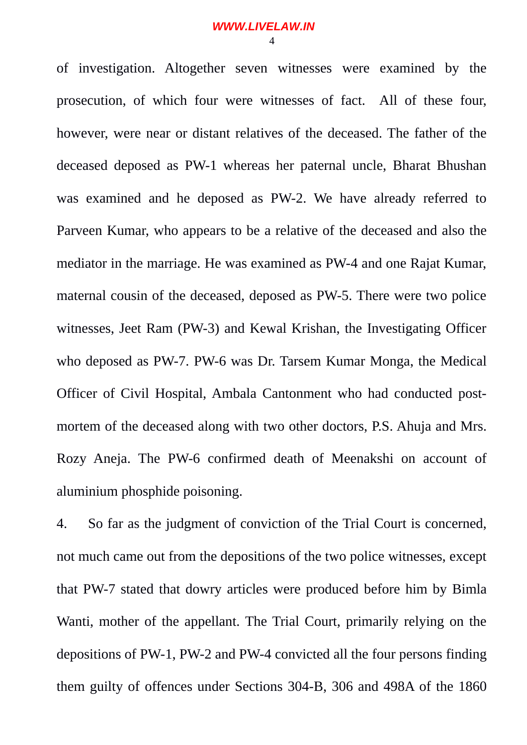of investigation. Altogether seven witnesses were examined by the prosecution, of which four were witnesses of fact. All of these four, however, were near or distant relatives of the deceased. The father of the deceased deposed as PW-1 whereas her paternal uncle, Bharat Bhushan was examined and he deposed as PW-2. We have already referred to Parveen Kumar, who appears to be a relative of the deceased and also the mediator in the marriage. He was examined as PW-4 and one Rajat Kumar, maternal cousin of the deceased, deposed as PW-5. There were two police witnesses, Jeet Ram (PW-3) and Kewal Krishan, the Investigating Officer who deposed as PW-7. PW-6 was Dr. Tarsem Kumar Monga, the Medical Officer of Civil Hospital, Ambala Cantonment who had conducted postmortem of the deceased along with two other doctors, P.S. Ahuja and Mrs. Rozy Aneja. The PW-6 confirmed death of Meenakshi on account of aluminium phosphide poisoning.

4. So far as the judgment of conviction of the Trial Court is concerned, not much came out from the depositions of the two police witnesses, except that PW-7 stated that dowry articles were produced before him by Bimla Wanti, mother of the appellant. The Trial Court, primarily relying on the depositions of PW-1, PW-2 and PW-4 convicted all the four persons finding them guilty of offences under Sections 304-B, 306 and 498A of the 1860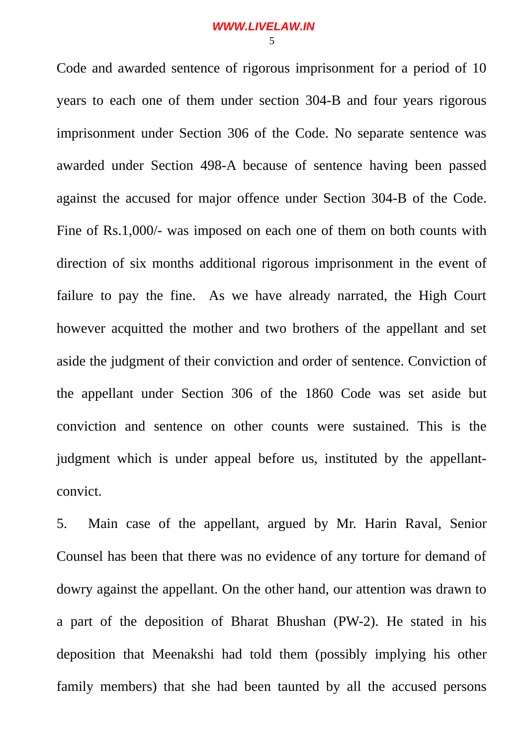Code and awarded sentence of rigorous imprisonment for a period of 10 years to each one of them under section 304-B and four years rigorous imprisonment under Section 306 of the Code. No separate sentence was awarded under Section 498-A because of sentence having been passed against the accused for major offence under Section 304-B of the Code. Fine of Rs.1,000/- was imposed on each one of them on both counts with direction of six months additional rigorous imprisonment in the event of failure to pay the fine. As we have already narrated, the High Court however acquitted the mother and two brothers of the appellant and set aside the judgment of their conviction and order of sentence. Conviction of the appellant under Section 306 of the 1860 Code was set aside but conviction and sentence on other counts were sustained. This is the judgment which is under appeal before us, instituted by the appellantconvict.

5. Main case of the appellant, argued by Mr. Harin Raval, Senior Counsel has been that there was no evidence of any torture for demand of dowry against the appellant. On the other hand, our attention was drawn to a part of the deposition of Bharat Bhushan (PW-2). He stated in his deposition that Meenakshi had told them (possibly implying his other family members) that she had been taunted by all the accused persons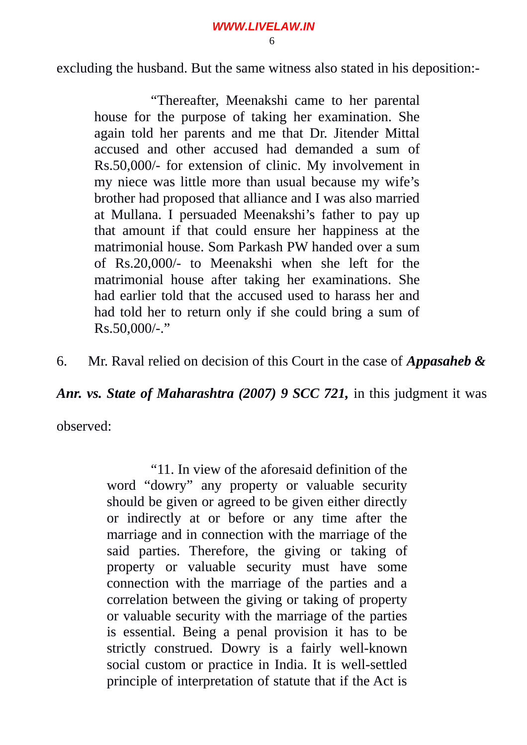**WWW.LIVELAW.IN**

6

excluding the husband. But the same witness also stated in his deposition:-

"Thereafter, Meenakshi came to her parental house for the purpose of taking her examination. She again told her parents and me that Dr. Jitender Mittal accused and other accused had demanded a sum of Rs.50,000/- for extension of clinic. My involvement in my niece was little more than usual because my wife's brother had proposed that alliance and I was also married at Mullana. I persuaded Meenakshi's father to pay up that amount if that could ensure her happiness at the matrimonial house. Som Parkash PW handed over a sum of Rs.20,000/- to Meenakshi when she left for the matrimonial house after taking her examinations. She had earlier told that the accused used to harass her and had told her to return only if she could bring a sum of Rs.50,000/-."

6. Mr. Raval relied on decision of this Court in the case of *Appasaheb &*

*Anr. vs. State of Maharashtra (2007) 9 SCC 721,* in this judgment it was

observed:

"11. In view of the aforesaid definition of the word "dowry" any property or valuable security should be given or agreed to be given either directly or indirectly at or before or any time after the marriage and in connection with the marriage of the said parties. Therefore, the giving or taking of property or valuable security must have some connection with the marriage of the parties and a correlation between the giving or taking of property or valuable security with the marriage of the parties is essential. Being a penal provision it has to be strictly construed. Dowry is a fairly well-known social custom or practice in India. It is well-settled principle of interpretation of statute that if the Act is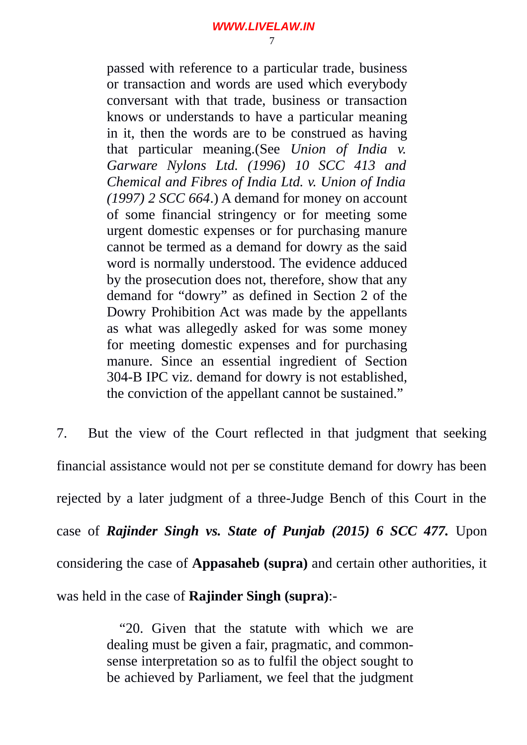passed with reference to a particular trade, business or transaction and words are used which everybody conversant with that trade, business or transaction knows or understands to have a particular meaning in it, then the words are to be construed as having that particular meaning.(See *Union of India v. Garware Nylons Ltd. (1996) 10 SCC 413 and Chemical and Fibres of India Ltd. v. Union of India (1997) 2 SCC 664*.) A demand for money on account of some financial stringency or for meeting some urgent domestic expenses or for purchasing manure cannot be termed as a demand for dowry as the said word is normally understood. The evidence adduced by the prosecution does not, therefore, show that any demand for "dowry" as defined in Section 2 of the Dowry Prohibition Act was made by the appellants as what was allegedly asked for was some money for meeting domestic expenses and for purchasing manure. Since an essential ingredient of Section 304-B IPC viz. demand for dowry is not established, the conviction of the appellant cannot be sustained."

7. But the view of the Court reflected in that judgment that seeking financial assistance would not per se constitute demand for dowry has been rejected by a later judgment of a three-Judge Bench of this Court in the case of *Rajinder Singh vs. State of Punjab (2015) 6 SCC 477.* Upon considering the case of **Appasaheb (supra)** and certain other authorities, it was held in the case of **Rajinder Singh (supra)**:-

> "20. Given that the statute with which we are dealing must be given a fair, pragmatic, and commonsense interpretation so as to fulfil the object sought to be achieved by Parliament, we feel that the judgment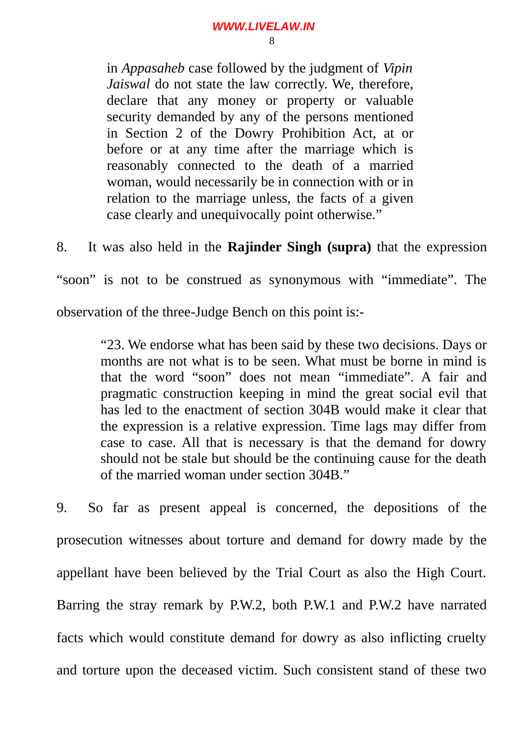#### **WWW.LIVELAW.IN**

8

in *Appasaheb* case followed by the judgment of *Vipin Jaiswal* do not state the law correctly. We, therefore, declare that any money or property or valuable security demanded by any of the persons mentioned in Section 2 of the Dowry Prohibition Act, at or before or at any time after the marriage which is reasonably connected to the death of a married woman, would necessarily be in connection with or in relation to the marriage unless, the facts of a given case clearly and unequivocally point otherwise."

8. It was also held in the **Rajinder Singh (supra)** that the expression

"soon" is not to be construed as synonymous with "immediate". The

observation of the three-Judge Bench on this point is:-

"23. We endorse what has been said by these two decisions. Days or months are not what is to be seen. What must be borne in mind is that the word "soon" does not mean "immediate". A fair and pragmatic construction keeping in mind the great social evil that has led to the enactment of section 304B would make it clear that the expression is a relative expression. Time lags may differ from case to case. All that is necessary is that the demand for dowry should not be stale but should be the continuing cause for the death of the married woman under section 304B."

9. So far as present appeal is concerned, the depositions of the prosecution witnesses about torture and demand for dowry made by the appellant have been believed by the Trial Court as also the High Court. Barring the stray remark by P.W.2, both P.W.1 and P.W.2 have narrated facts which would constitute demand for dowry as also inflicting cruelty and torture upon the deceased victim. Such consistent stand of these two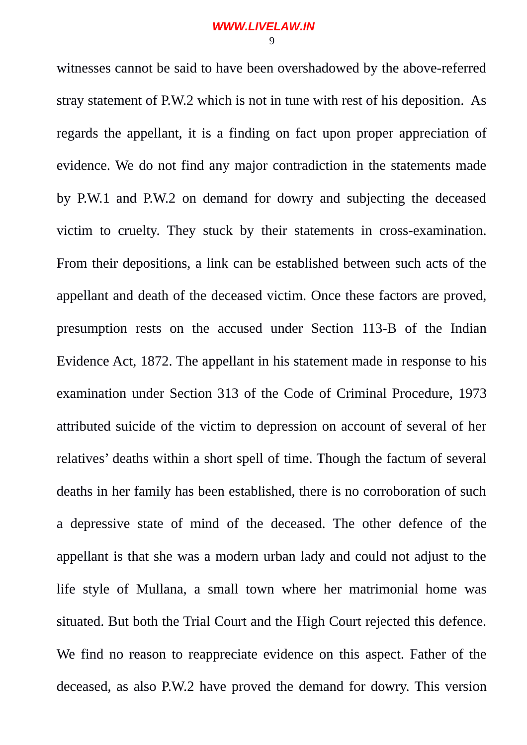witnesses cannot be said to have been overshadowed by the above-referred stray statement of P.W.2 which is not in tune with rest of his deposition. As regards the appellant, it is a finding on fact upon proper appreciation of evidence. We do not find any major contradiction in the statements made by P.W.1 and P.W.2 on demand for dowry and subjecting the deceased victim to cruelty. They stuck by their statements in cross-examination. From their depositions, a link can be established between such acts of the appellant and death of the deceased victim. Once these factors are proved, presumption rests on the accused under Section 113-B of the Indian Evidence Act, 1872. The appellant in his statement made in response to his examination under Section 313 of the Code of Criminal Procedure, 1973 attributed suicide of the victim to depression on account of several of her relatives' deaths within a short spell of time. Though the factum of several deaths in her family has been established, there is no corroboration of such a depressive state of mind of the deceased. The other defence of the appellant is that she was a modern urban lady and could not adjust to the life style of Mullana, a small town where her matrimonial home was situated. But both the Trial Court and the High Court rejected this defence. We find no reason to reappreciate evidence on this aspect. Father of the deceased, as also P.W.2 have proved the demand for dowry. This version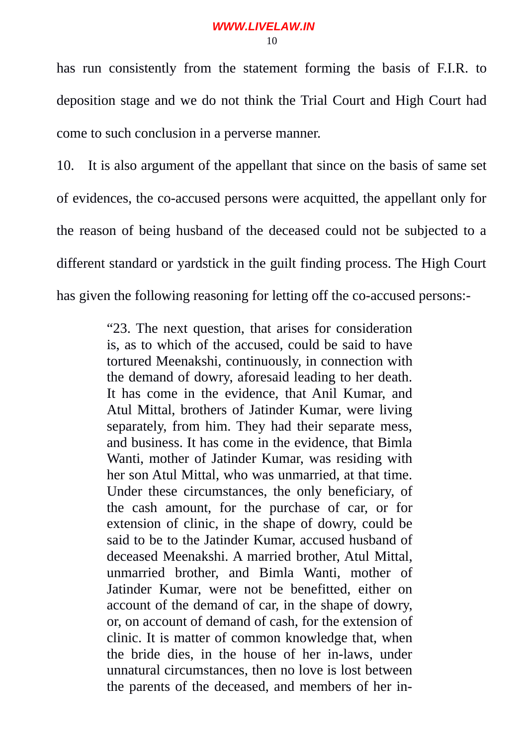has run consistently from the statement forming the basis of F.I.R. to deposition stage and we do not think the Trial Court and High Court had come to such conclusion in a perverse manner.

10. It is also argument of the appellant that since on the basis of same set of evidences, the co-accused persons were acquitted, the appellant only for the reason of being husband of the deceased could not be subjected to a different standard or yardstick in the guilt finding process. The High Court has given the following reasoning for letting off the co-accused persons:-

> "23. The next question, that arises for consideration is, as to which of the accused, could be said to have tortured Meenakshi, continuously, in connection with the demand of dowry, aforesaid leading to her death. It has come in the evidence, that Anil Kumar, and Atul Mittal, brothers of Jatinder Kumar, were living separately, from him. They had their separate mess, and business. It has come in the evidence, that Bimla Wanti, mother of Jatinder Kumar, was residing with her son Atul Mittal, who was unmarried, at that time. Under these circumstances, the only beneficiary, of the cash amount, for the purchase of car, or for extension of clinic, in the shape of dowry, could be said to be to the Jatinder Kumar, accused husband of deceased Meenakshi. A married brother, Atul Mittal, unmarried brother, and Bimla Wanti, mother of Jatinder Kumar, were not be benefitted, either on account of the demand of car, in the shape of dowry, or, on account of demand of cash, for the extension of clinic. It is matter of common knowledge that, when the bride dies, in the house of her in-laws, under unnatural circumstances, then no love is lost between the parents of the deceased, and members of her in-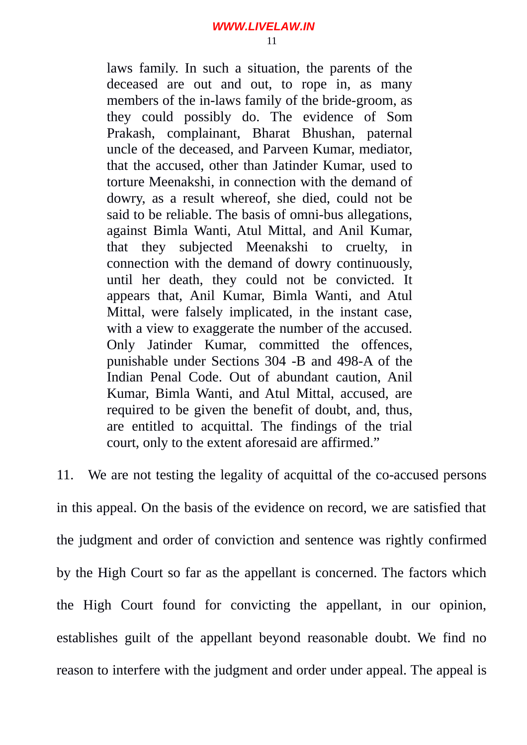laws family. In such a situation, the parents of the deceased are out and out, to rope in, as many members of the in-laws family of the bride-groom, as they could possibly do. The evidence of Som Prakash, complainant, Bharat Bhushan, paternal uncle of the deceased, and Parveen Kumar, mediator, that the accused, other than Jatinder Kumar, used to torture Meenakshi, in connection with the demand of dowry, as a result whereof, she died, could not be said to be reliable. The basis of omni-bus allegations, against Bimla Wanti, Atul Mittal, and Anil Kumar, that they subjected Meenakshi to cruelty, in connection with the demand of dowry continuously, until her death, they could not be convicted. It appears that, Anil Kumar, Bimla Wanti, and Atul Mittal, were falsely implicated, in the instant case, with a view to exaggerate the number of the accused. Only Jatinder Kumar, committed the offences, punishable under Sections 304 -B and 498-A of the Indian Penal Code. Out of abundant caution, Anil Kumar, Bimla Wanti, and Atul Mittal, accused, are required to be given the benefit of doubt, and, thus, are entitled to acquittal. The findings of the trial court, only to the extent aforesaid are affirmed."

11. We are not testing the legality of acquittal of the co-accused persons in this appeal. On the basis of the evidence on record, we are satisfied that the judgment and order of conviction and sentence was rightly confirmed by the High Court so far as the appellant is concerned. The factors which the High Court found for convicting the appellant, in our opinion, establishes guilt of the appellant beyond reasonable doubt. We find no reason to interfere with the judgment and order under appeal. The appeal is